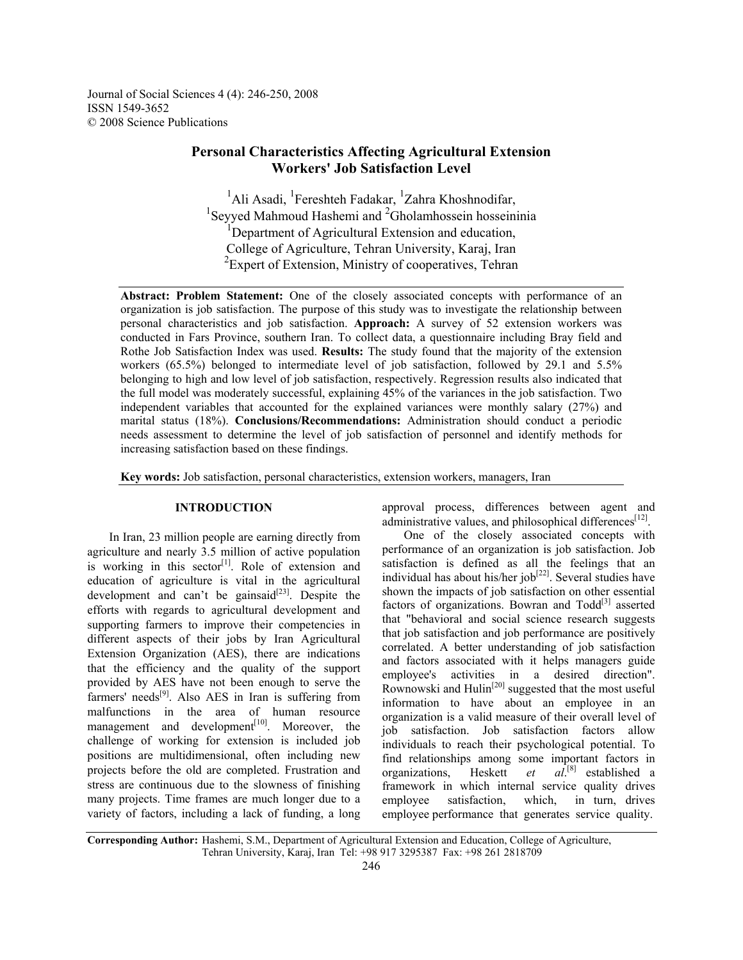Journal of Social Sciences 4 (4): 246-250, 2008 ISSN 1549-3652 © 2008 Science Publications

# **Personal Characteristics Affecting Agricultural Extension Workers' Job Satisfaction Level**

<sup>1</sup>Ali Asadi, <sup>1</sup>Fereshteh Fadakar, <sup>1</sup>Zahra Khoshnodifar, <sup>1</sup>Seyyed Mahmoud Hashemi and  ${}^{2}$ Gholamhossein hosseininia <sup>1</sup>Department of Agricultural Extension and education, College of Agriculture, Tehran University, Karaj, Iran <sup>2</sup> Expert of Extension, Ministry of cooperatives, Tehran

**Abstract: Problem Statement:** One of the closely associated concepts with performance of an organization is job satisfaction. The purpose of this study was to investigate the relationship between personal characteristics and job satisfaction. **Approach:** A survey of 52 extension workers was conducted in Fars Province, southern Iran. To collect data, a questionnaire including Bray field and Rothe Job Satisfaction Index was used. **Results:** The study found that the majority of the extension workers (65.5%) belonged to intermediate level of job satisfaction, followed by 29.1 and 5.5% belonging to high and low level of job satisfaction, respectively. Regression results also indicated that the full model was moderately successful, explaining 45% of the variances in the job satisfaction. Two independent variables that accounted for the explained variances were monthly salary (27%) and marital status (18%). **Conclusions/Recommendations:** Administration should conduct a periodic needs assessment to determine the level of job satisfaction of personnel and identify methods for increasing satisfaction based on these findings.

**Key words:** Job satisfaction, personal characteristics, extension workers, managers, Iran

# **INTRODUCTION**

 In Iran, 23 million people are earning directly from agriculture and nearly 3.5 million of active population is working in this sector<sup>[1]</sup>. Role of extension and education of agriculture is vital in the agricultural development and can't be gainsaid $[23]$ . Despite the efforts with regards to agricultural development and supporting farmers to improve their competencies in different aspects of their jobs by Iran Agricultural Extension Organization (AES), there are indications that the efficiency and the quality of the support provided by AES have not been enough to serve the farmers' needs $[9]$ . Also AES in Iran is suffering from malfunctions in the area of human resource management and development $[10]$ . Moreover, the challenge of working for extension is included job positions are multidimensional, often including new projects before the old are completed. Frustration and stress are continuous due to the slowness of finishing many projects. Time frames are much longer due to a variety of factors, including a lack of funding, a long

approval process, differences between agent and administrative values, and philosophical differences<sup>[12]</sup>.

 One of the closely associated concepts with performance of an organization is job satisfaction. Job satisfaction is defined as all the feelings that an individual has about his/her  $job^{[22]}$ . Several studies have shown the impacts of job satisfaction on other essential factors of organizations. Bowran and  $Todd^{[3]}$  asserted that "behavioral and social science research suggests that job satisfaction and job performance are positively correlated. A better understanding of job satisfaction and factors associated with it helps managers guide employee's activities in a desired direction". Rownowski and  $\text{Hulin}^{[20]}$  suggested that the most useful information to have about an employee in an organization is a valid measure of their overall level of job satisfaction. Job satisfaction factors allow individuals to reach their psychological potential. To find relationships among some important factors in organizations, Heskett *et al*.  $al.^{[8]}$  established a framework in which internal service quality drives employee satisfaction, which, in turn, drives employee performance that generates service quality.

**Corresponding Author:** Hashemi, S.M., Department of Agricultural Extension and Education, College of Agriculture, Tehran University, Karaj, Iran Tel: +98 917 3295387 Fax: +98 261 2818709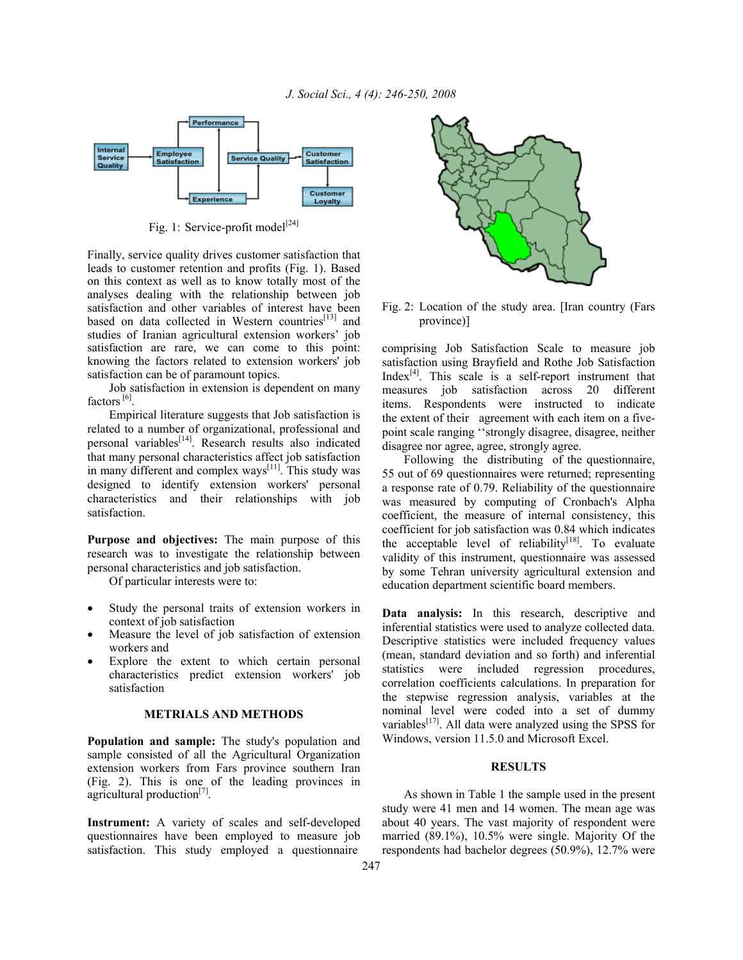

Fig. 1: Service-profit model<sup>[24]</sup>

Finally, service quality drives customer satisfaction that leads to customer retention and profits (Fig. 1). Based on this context as well as to know totally most of the analyses dealing with the relationship between job satisfaction and other variables of interest have been based on data collected in Western countries $[13]$  and studies of Iranian agricultural extension workers' job satisfaction are rare, we can come to this point: knowing the factors related to extension workers' job satisfaction can be of paramount topics.

 Job satisfaction in extension is dependent on many factors<sup>[6]</sup>.

 Empirical literature suggests that Job satisfaction is related to a number of organizational, professional and personal variables<sup>[14]</sup>. Research results also indicated that many personal characteristics affect job satisfaction in many different and complex ways $[11]$ . This study was designed to identify extension workers' personal characteristics and their relationships with job satisfaction.

**Purpose and objectives:** The main purpose of this research was to investigate the relationship between personal characteristics and job satisfaction.

Of particular interests were to:

- Study the personal traits of extension workers in context of job satisfaction
- Measure the level of job satisfaction of extension workers and
- Explore the extent to which certain personal characteristics predict extension workers' job satisfaction

# **METRIALS AND METHODS**

**Population and sample:** The study's population and sample consisted of all the Agricultural Organization extension workers from Fars province southern Iran (Fig. 2). This is one of the leading provinces in agricultural production<sup>[7]</sup>.

**Instrument:** A variety of scales and self-developed questionnaires have been employed to measure job satisfaction. This study employed a questionnaire



Fig. 2: Location of the study area. [Iran country (Fars province)]

comprising Job Satisfaction Scale to measure job satisfaction using Brayfield and Rothe Job Satisfaction Index $[4]$ . This scale is a self-report instrument that measures job satisfaction across 20 different items. Respondents were instructed to indicate the extent of their agreement with each item on a fivepoint scale ranging ''strongly disagree, disagree, neither disagree nor agree, agree, strongly agree.

 Following the distributing of the questionnaire, 55 out of 69 questionnaires were returned; representing a response rate of 0.79. Reliability of the questionnaire was measured by computing of Cronbach's Alpha coefficient, the measure of internal consistency, this coefficient for job satisfaction was 0.84 which indicates the acceptable level of reliability<sup>[18]</sup>. To evaluate validity of this instrument, questionnaire was assessed by some Tehran university agricultural extension and education department scientific board members.

**Data analysis:** In this research, descriptive and inferential statistics were used to analyze collected data. Descriptive statistics were included frequency values (mean, standard deviation and so forth) and inferential statistics were included regression procedures, correlation coefficients calculations. In preparation for the stepwise regression analysis, variables at the nominal level were coded into a set of dummy variables $[17]$ . All data were analyzed using the SPSS for Windows, version 11.5.0 and Microsoft Excel.

### **RESULTS**

 As shown in Table 1 the sample used in the present study were 41 men and 14 women. The mean age was about 40 years. The vast majority of respondent were married (89.1%), 10.5% were single. Majority Of the respondents had bachelor degrees (50.9%), 12.7% were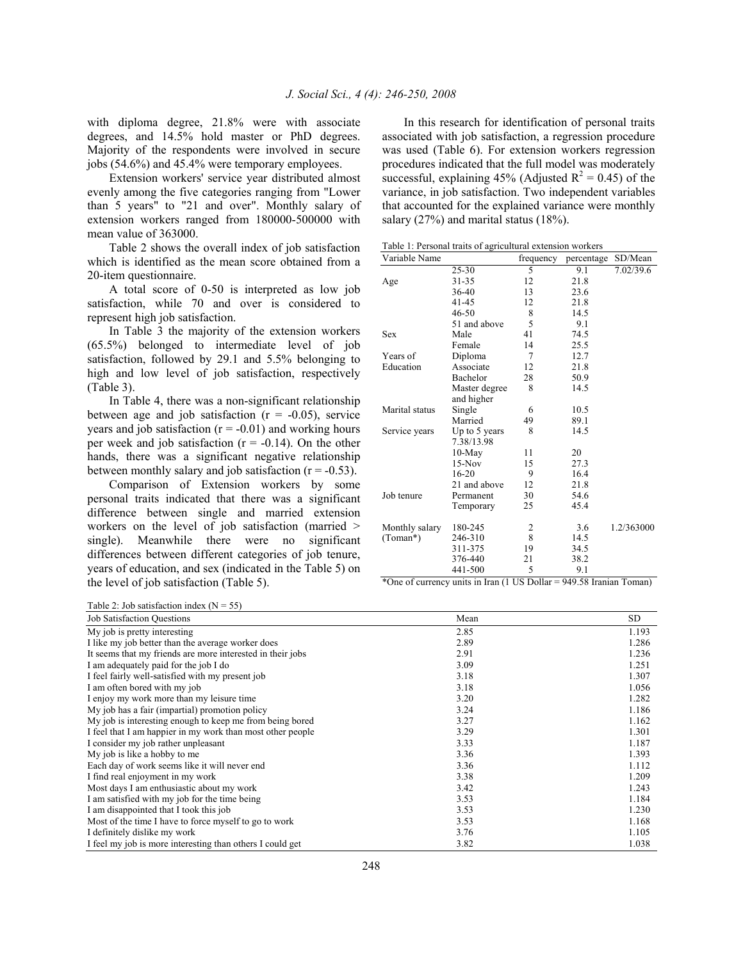with diploma degree, 21.8% were with associate degrees, and 14.5% hold master or PhD degrees. Majority of the respondents were involved in secure jobs (54.6%) and 45.4% were temporary employees.

 Extension workers' service year distributed almost evenly among the five categories ranging from "Lower than 5 years" to "21 and over". Monthly salary of extension workers ranged from 180000-500000 with mean value of 363000.

 Table 2 shows the overall index of job satisfaction which is identified as the mean score obtained from a 20-item questionnaire.

 A total score of 0-50 is interpreted as low job satisfaction, while 70 and over is considered to represent high job satisfaction.

 In Table 3 the majority of the extension workers (65.5%) belonged to intermediate level of job satisfaction, followed by 29.1 and 5.5% belonging to high and low level of job satisfaction, respectively (Table 3).

 In Table 4, there was a non-significant relationship between age and job satisfaction  $(r = -0.05)$ , service years and job satisfaction  $(r = -0.01)$  and working hours per week and job satisfaction  $(r = -0.14)$ . On the other hands, there was a significant negative relationship between monthly salary and job satisfaction  $(r = -0.53)$ .

 Comparison of Extension workers by some personal traits indicated that there was a significant difference between single and married extension workers on the level of job satisfaction (married > single). Meanwhile there were no significant differences between different categories of job tenure, years of education, and sex (indicated in the Table 5) on the level of job satisfaction (Table 5).

 In this research for identification of personal traits associated with job satisfaction, a regression procedure was used (Table 6). For extension workers regression procedures indicated that the full model was moderately successful, explaining 45% (Adjusted  $R^2 = 0.45$ ) of the variance, in job satisfaction. Two independent variables that accounted for the explained variance were monthly salary (27%) and marital status (18%).

Table 1: Personal traits of agricultural extension workers

| Variable Name  |               | frequency | percentage | SD/Mean    |
|----------------|---------------|-----------|------------|------------|
|                | 25-30         | 5         | 9.1        | 7.02/39.6  |
| Age            | 31-35         | 12        | 21.8       |            |
|                | 36-40         | 13        | 23.6       |            |
|                | 41-45         | 12        | 21.8       |            |
|                | 46-50         | 8         | 14.5       |            |
|                | 51 and above  | 5         | 9.1        |            |
| <b>Sex</b>     | Male          | 41        | 74.5       |            |
|                | Female        | 14        | 25.5       |            |
| Years of       | Diploma       | 7         | 12.7       |            |
| Education      | Associate     | 12        | 21.8       |            |
|                | Bachelor      | 28        | 50.9       |            |
|                | Master degree | 8         | 14.5       |            |
|                | and higher    |           |            |            |
| Marital status | Single        | 6         | 10.5       |            |
|                | Married       | 49        | 89.1       |            |
| Service years  | Up to 5 years | 8         | 14.5       |            |
|                | 7.38/13.98    |           |            |            |
|                | $10-Mav$      | 11        | 20         |            |
|                | $15-Nov$      | 15        | 27.3       |            |
|                | $16 - 20$     | 9         | 16.4       |            |
|                | 21 and above  | 12        | 21.8       |            |
| Job tenure     | Permanent     | 30        | 54.6       |            |
|                | Temporary     | 25        | 45.4       |            |
| Monthly salary | 180-245       | 2         | 3.6        | 1.2/363000 |
| (Toman*)       | 246-310       | 8         | 14.5       |            |
|                | 311-375       | 19        | 34.5       |            |
|                | 376-440       | 21        | 38.2       |            |
|                | 441-500       | 5         | 9.1        |            |
|                |               |           |            |            |

\*One of currency units in Iran (1 US Dollar = 949.58 Iranian Toman)

Table 2: Job satisfaction index  $(N = 55)$ 

| <b>Job Satisfaction Questions</b>                          | Mean | <b>SD</b> |
|------------------------------------------------------------|------|-----------|
| My job is pretty interesting                               | 2.85 | 1.193     |
| I like my job better than the average worker does          | 2.89 | 1.286     |
| It seems that my friends are more interested in their jobs | 2.91 | 1.236     |
| I am adequately paid for the job I do                      | 3.09 | 1.251     |
| I feel fairly well-satisfied with my present job           | 3.18 | 1.307     |
| I am often bored with my job                               | 3.18 | 1.056     |
| I enjoy my work more than my leisure time                  | 3.20 | 1.282     |
| My job has a fair (impartial) promotion policy             | 3.24 | 1.186     |
| My job is interesting enough to keep me from being bored   | 3.27 | 1.162     |
| I feel that I am happier in my work than most other people | 3.29 | 1.301     |
| I consider my job rather unpleasant                        | 3.33 | 1.187     |
| My job is like a hobby to me                               | 3.36 | 1.393     |
| Each day of work seems like it will never end              | 3.36 | 1.112     |
| I find real enjoyment in my work                           | 3.38 | 1.209     |
| Most days I am enthusiastic about my work                  | 3.42 | 1.243     |
| I am satisfied with my job for the time being              | 3.53 | 1.184     |
| I am disappointed that I took this job                     | 3.53 | 1.230     |
| Most of the time I have to force myself to go to work      | 3.53 | 1.168     |
| I definitely dislike my work                               | 3.76 | 1.105     |
| I feel my job is more interesting than others I could get  | 3.82 | 1.038     |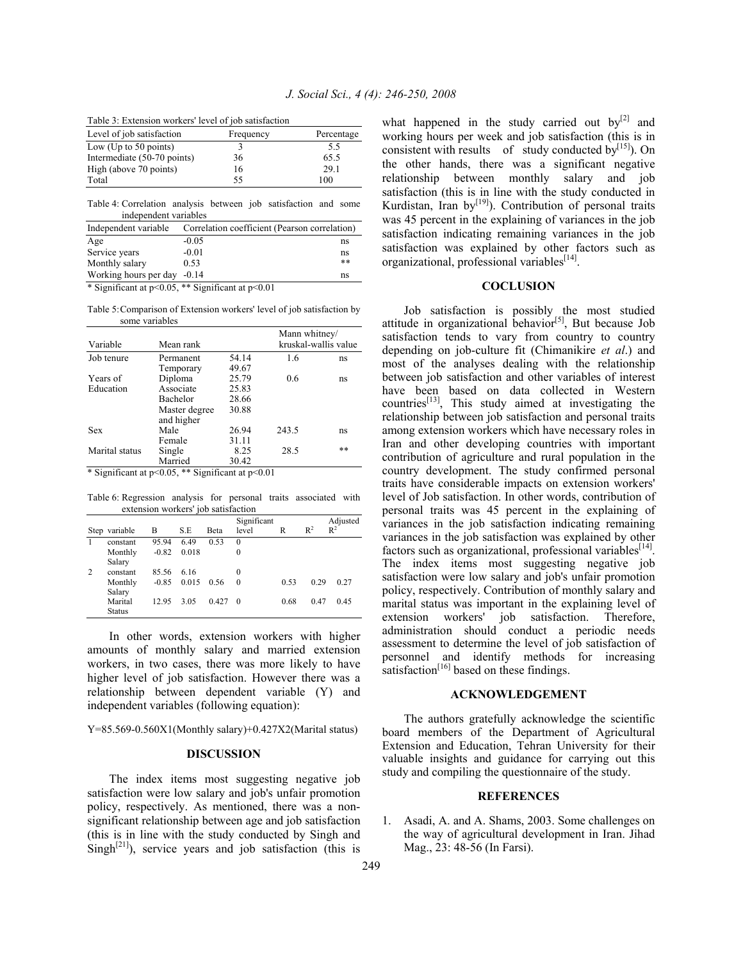| Table 3: Extension workers' level of job satisfaction |
|-------------------------------------------------------|
|-------------------------------------------------------|

| Level of job satisfaction   | Frequency | Percentage |
|-----------------------------|-----------|------------|
| Low (Up to $50$ points)     |           | 5.5        |
| Intermediate (50-70 points) | 36        | 65.5       |
| High (above 70 points)      | 16        | 29.1       |
| Total                       | 55        | 100        |

Table 4: Correlation analysis between job satisfaction and some independent variables

| Independent variable                                                                                                                                                                                                                                                                                                                                                                                                                                                                   | Correlation coefficient (Pearson correlation) |       |  |  |
|----------------------------------------------------------------------------------------------------------------------------------------------------------------------------------------------------------------------------------------------------------------------------------------------------------------------------------------------------------------------------------------------------------------------------------------------------------------------------------------|-----------------------------------------------|-------|--|--|
| Age                                                                                                                                                                                                                                                                                                                                                                                                                                                                                    | $-0.05$                                       | ns    |  |  |
| Service years                                                                                                                                                                                                                                                                                                                                                                                                                                                                          | $-0.01$                                       | ns    |  |  |
| Monthly salary                                                                                                                                                                                                                                                                                                                                                                                                                                                                         | 0.53                                          | $* *$ |  |  |
| Working hours per day -0.14                                                                                                                                                                                                                                                                                                                                                                                                                                                            |                                               | ns    |  |  |
| $\mathcal{L} \cap \mathcal{L} \cap \mathcal{L} \cap \mathcal{L} \cap \mathcal{L} \cap \mathcal{L} \cap \mathcal{L} \cap \mathcal{L} \cap \mathcal{L} \cap \mathcal{L} \cap \mathcal{L} \cap \mathcal{L} \cap \mathcal{L} \cap \mathcal{L} \cap \mathcal{L} \cap \mathcal{L} \cap \mathcal{L} \cap \mathcal{L} \cap \mathcal{L} \cap \mathcal{L} \cap \mathcal{L} \cap \mathcal{L} \cap \mathcal{L} \cap \mathcal{L} \cap \mathcal{L} \cap \mathcal{L} \cap \mathcal{L} \cap \mathcal{$ |                                               |       |  |  |

\* Significant at p<0.05, \*\* Significant at p<0.01

Table 5: Comparison of Extension workers' level of job satisfaction by some variables

|                |                             |       | Mann whitney/        |    |  |
|----------------|-----------------------------|-------|----------------------|----|--|
| Variable       | Mean rank                   |       | kruskal-wallis value |    |  |
| Job tenure     | Permanent                   |       | 1.6                  | ns |  |
|                | Temporary                   | 49.67 |                      |    |  |
| Years of       | Diploma                     | 25.79 | 0.6                  | ns |  |
| Education      | Associate                   | 25.83 |                      |    |  |
|                | Bachelor                    | 28.66 |                      |    |  |
|                | Master degree<br>and higher | 30.88 |                      |    |  |
| Sex            | Male                        | 26.94 | 243.5                | ns |  |
|                | Female                      | 31.11 |                      |    |  |
| Marital status | Single                      | 8.25  | 28.5                 | ** |  |
|                | Married                     | 30.42 |                      |    |  |

\* Significant at p<0.05, \*\* Significant at p<0.01

Table 6: Regression analysis for personal traits associated with extension workers' job satisfaction

|                | Step variable | B       | S.E   | <b>Beta</b> | Significant<br>level | R    | $R^2$ | Adjusted<br>$R^2$ |
|----------------|---------------|---------|-------|-------------|----------------------|------|-------|-------------------|
|                | constant      | 95.94   | 6.49  | 0.53        | $\theta$             |      |       |                   |
|                | Monthly       | $-0.82$ | 0.018 |             | 0                    |      |       |                   |
|                | Salary        |         |       |             |                      |      |       |                   |
| $\overline{c}$ | constant      | 85.56   | 6.16  |             | $\theta$             |      |       |                   |
|                | Monthly       | $-0.85$ | 0.015 | 0.56        | 0                    | 0.53 | 0.29  | 0.27              |
|                | Salary        |         |       |             |                      |      |       |                   |
|                | Marital       | 12.95   | 3.05  | 0.427       | $\theta$             | 0.68 | 0.47  | 0.45              |
|                | Status        |         |       |             |                      |      |       |                   |

 In other words, extension workers with higher amounts of monthly salary and married extension workers, in two cases, there was more likely to have higher level of job satisfaction. However there was a relationship between dependent variable (Y) and independent variables (following equation):

Y=85.569-0.560X1(Monthly salary)+0.427X2(Marital status)

### **DISCUSSION**

 The index items most suggesting negative job satisfaction were low salary and job's unfair promotion policy, respectively. As mentioned, there was a nonsignificant relationship between age and job satisfaction (this is in line with the study conducted by Singh and Singh<sup>[21]</sup>), service years and job satisfaction (this is what happened in the study carried out  $by^{[2]}$  and working hours per week and job satisfaction (this is in consistent with results of study conducted by $[15]$ . On the other hands, there was a significant negative relationship between monthly salary and job satisfaction (this is in line with the study conducted in Kurdistan, Iran by<sup>[19]</sup>). Contribution of personal traits was 45 percent in the explaining of variances in the job satisfaction indicating remaining variances in the job satisfaction was explained by other factors such as organizational, professional variables<sup>[14]</sup>.

## **COCLUSION**

 Job satisfaction is possibly the most studied attitude in organizational behavior $\left[5\right]$ , But because Job satisfaction tends to vary from country to country depending on job-culture fit (Chimanikire *et al*.) and most of the analyses dealing with the relationship between job satisfaction and other variables of interest have been based on data collected in Western countries<sup>[13]</sup>, This study aimed at investigating the relationship between job satisfaction and personal traits among extension workers which have necessary roles in Iran and other developing countries with important contribution of agriculture and rural population in the country development. The study confirmed personal traits have considerable impacts on extension workers' level of Job satisfaction. In other words, contribution of personal traits was 45 percent in the explaining of variances in the job satisfaction indicating remaining variances in the job satisfaction was explained by other factors such as organizational, professional variables<sup>[14]</sup>. The index items most suggesting negative job satisfaction were low salary and job's unfair promotion policy, respectively. Contribution of monthly salary and marital status was important in the explaining level of extension workers' job satisfaction. Therefore, administration should conduct a periodic needs assessment to determine the level of job satisfaction of personnel and identify methods for increasing satisfaction $[16]$  based on these findings.

#### **ACKNOWLEDGEMENT**

 The authors gratefully acknowledge the scientific board members of the Department of Agricultural Extension and Education, Tehran University for their valuable insights and guidance for carrying out this study and compiling the questionnaire of the study.

#### **REFERENCES**

1. Asadi, A. and A. Shams, 2003. Some challenges on the way of agricultural development in Iran. Jihad Mag., 23: 48-56 (In Farsi).